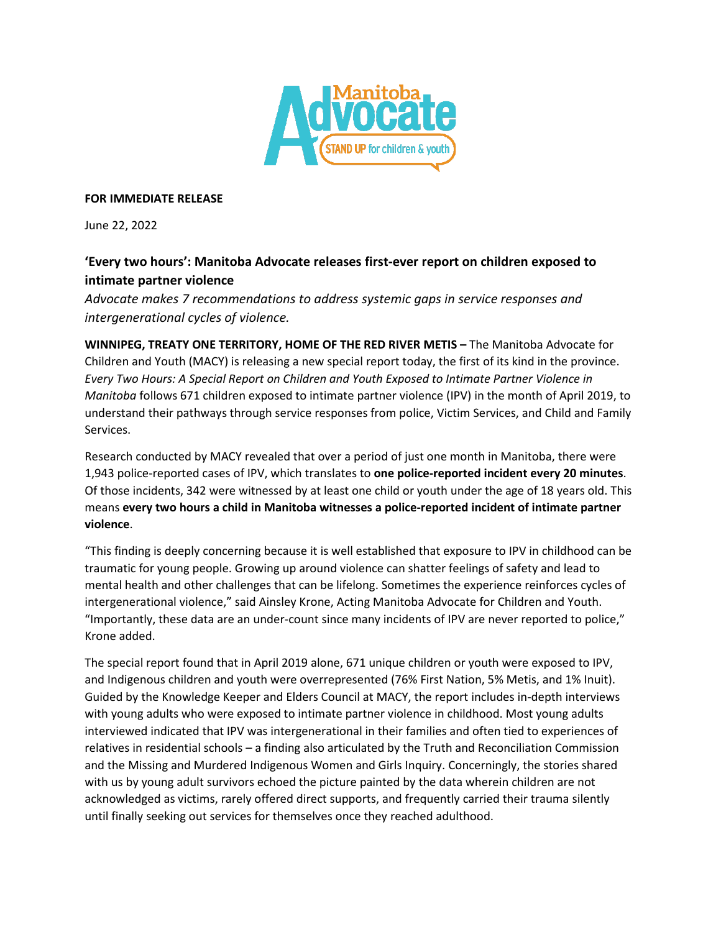

## **FOR IMMEDIATE RELEASE**

June 22, 2022

## **'Every two hours': Manitoba Advocate releases first-ever report on children exposed to intimate partner violence**

*Advocate makes 7 recommendations to address systemic gaps in service responses and intergenerational cycles of violence.*

**WINNIPEG, TREATY ONE TERRITORY, HOME OF THE RED RIVER METIS –** The Manitoba Advocate for Children and Youth (MACY) is releasing a new special report today, the first of its kind in the province. *Every Two Hours: A Special Report on Children and Youth Exposed to Intimate Partner Violence in Manitoba* follows 671 children exposed to intimate partner violence (IPV) in the month of April 2019, to understand their pathways through service responses from police, Victim Services, and Child and Family Services.

Research conducted by MACY revealed that over a period of just one month in Manitoba, there were 1,943 police-reported cases of IPV, which translates to **one police-reported incident every 20 minutes**. Of those incidents, 342 were witnessed by at least one child or youth under the age of 18 years old. This means **every two hours a child in Manitoba witnesses a police-reported incident of intimate partner violence**.

"This finding is deeply concerning because it is well established that exposure to IPV in childhood can be traumatic for young people. Growing up around violence can shatter feelings of safety and lead to mental health and other challenges that can be lifelong. Sometimes the experience reinforces cycles of intergenerational violence," said Ainsley Krone, Acting Manitoba Advocate for Children and Youth. "Importantly, these data are an under-count since many incidents of IPV are never reported to police," Krone added.

The special report found that in April 2019 alone, 671 unique children or youth were exposed to IPV, and Indigenous children and youth were overrepresented (76% First Nation, 5% Metis, and 1% Inuit). Guided by the Knowledge Keeper and Elders Council at MACY, the report includes in-depth interviews with young adults who were exposed to intimate partner violence in childhood. Most young adults interviewed indicated that IPV was intergenerational in their families and often tied to experiences of relatives in residential schools – a finding also articulated by the Truth and Reconciliation Commission and the Missing and Murdered Indigenous Women and Girls Inquiry. Concerningly, the stories shared with us by young adult survivors echoed the picture painted by the data wherein children are not acknowledged as victims, rarely offered direct supports, and frequently carried their trauma silently until finally seeking out services for themselves once they reached adulthood.